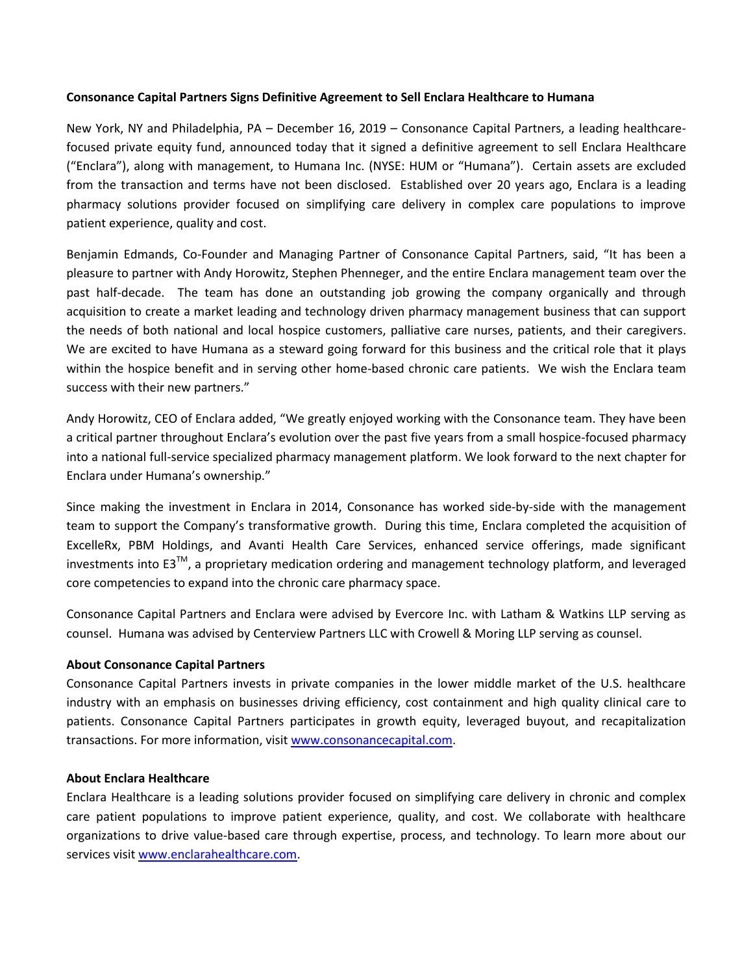## **Consonance Capital Partners Signs Definitive Agreement to Sell Enclara Healthcare to Humana**

New York, NY and Philadelphia, PA – December 16, 2019 – Consonance Capital Partners, a leading healthcarefocused private equity fund, announced today that it signed a definitive agreement to sell Enclara Healthcare ("Enclara"), along with management, to Humana Inc. (NYSE: HUM or "Humana"). Certain assets are excluded from the transaction and terms have not been disclosed. Established over 20 years ago, Enclara is a leading pharmacy solutions provider focused on simplifying care delivery in complex care populations to improve patient experience, quality and cost.

Benjamin Edmands, Co-Founder and Managing Partner of Consonance Capital Partners, said, "It has been a pleasure to partner with Andy Horowitz, Stephen Phenneger, and the entire Enclara management team over the past half-decade. The team has done an outstanding job growing the company organically and through acquisition to create a market leading and technology driven pharmacy management business that can support the needs of both national and local hospice customers, palliative care nurses, patients, and their caregivers. We are excited to have Humana as a steward going forward for this business and the critical role that it plays within the hospice benefit and in serving other home-based chronic care patients. We wish the Enclara team success with their new partners."

Andy Horowitz, CEO of Enclara added, "We greatly enjoyed working with the Consonance team. They have been a critical partner throughout Enclara's evolution over the past five years from a small hospice-focused pharmacy into a national full-service specialized pharmacy management platform. We look forward to the next chapter for Enclara under Humana's ownership."

Since making the investment in Enclara in 2014, Consonance has worked side-by-side with the management team to support the Company's transformative growth. During this time, Enclara completed the acquisition of ExcelleRx, PBM Holdings, and Avanti Health Care Services, enhanced service offerings, made significant investments into E3<sup>™</sup>, a proprietary medication ordering and management technology platform, and leveraged core competencies to expand into the chronic care pharmacy space.

Consonance Capital Partners and Enclara were advised by Evercore Inc. with Latham & Watkins LLP serving as counsel. Humana was advised by Centerview Partners LLC with Crowell & Moring LLP serving as counsel.

## **About Consonance Capital Partners**

Consonance Capital Partners invests in private companies in the lower middle market of the U.S. healthcare industry with an emphasis on businesses driving efficiency, cost containment and high quality clinical care to patients. Consonance Capital Partners participates in growth equity, leveraged buyout, and recapitalization transactions. For more information, visi[t www.consonancecapital.com.](http://www.consonancecapital.com/)

## **About Enclara Healthcare**

Enclara Healthcare is a leading solutions provider focused on simplifying care delivery in chronic and complex care patient populations to improve patient experience, quality, and cost. We collaborate with healthcare organizations to drive value-based care through expertise, process, and technology. To learn more about our services visi[t www.enclarahealthcare.com.](http://www.enclarahealthcare.com/)